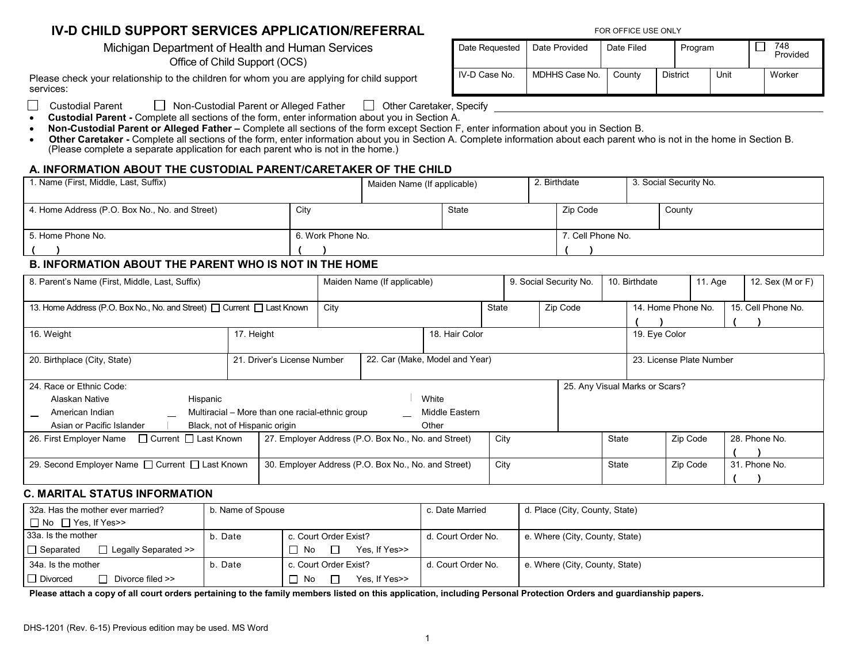# **IV-D CHILD SUPPORT SERVICES APPLICATION/REFERRAL** FOR OFFICE USE ONLY

Office of Child Support (OCS)

Please check your relationship to the children for whom you are applying for child support services:

Michigan Department of Health and Human Services Date Requested Date Provided Date Filed Program | 748 IV-D Case No. | MDHHS Case No. | County | District | Unit | Worker

Custodial Parent Mon-Custodial Parent or Alleged Father  $\Box$  Other Caretaker, Specify  $\mathbf{L}$ 

- **Custodial Parent -** Complete all sections of the form, enter information about you in Section A.
- **Non-Custodial Parent or Alleged Father –** Complete all sections of the form except Section F, enter information about you in Section B.
- **Other Caretaker -** Complete all sections of the form, enter information about you in Section A. Complete information about each parent who is not in the home in Section B. (Please complete a separate application for each parent who is not in the home.)

## **A. INFORMATION ABOUT THE CUSTODIAL PARENT/CARETAKER OF THE CHILD**

| 1. Name (First, Middle, Last, Suffix)          | Maiden Name (If applicable) |  |       | 2. Birthdate      |          | 3. Social Security No. |        |  |
|------------------------------------------------|-----------------------------|--|-------|-------------------|----------|------------------------|--------|--|
| 4. Home Address (P.O. Box No., No. and Street) | City                        |  | State |                   | Zip Code |                        | County |  |
| 5. Home Phone No.                              | 6. Work Phone No.           |  |       | 7. Cell Phone No. |          |                        |        |  |
|                                                |                             |  |       |                   |          |                        |        |  |
|                                                |                             |  |       |                   |          |                        |        |  |

## **B. INFORMATION ABOUT THE PARENT WHO IS NOT IN THE HOME**

| 8. Parent's Name (First, Middle, Last, Suffix)                                                                                                                                                                                                                   |            |                                                               | Maiden Name (If applicable) |  |       |                          | 9. Social Security No. |       | 10. Birthdate |                    | 11. Age | 12. Sex (M or F)   |
|------------------------------------------------------------------------------------------------------------------------------------------------------------------------------------------------------------------------------------------------------------------|------------|---------------------------------------------------------------|-----------------------------|--|-------|--------------------------|------------------------|-------|---------------|--------------------|---------|--------------------|
| 13. Home Address (P.O. Box No., No. and Street) □ Current □ Last Known                                                                                                                                                                                           |            |                                                               | City                        |  | State |                          | Zip Code               |       |               | 14. Home Phone No. |         | 15. Cell Phone No. |
| 16. Weight                                                                                                                                                                                                                                                       | 17. Height | 18. Hair Color                                                |                             |  |       |                          |                        |       | 19. Eye Color |                    |         |                    |
| 20. Birthplace (City, State)                                                                                                                                                                                                                                     |            | 22. Car (Make, Model and Year)<br>21. Driver's License Number |                             |  |       | 23. License Plate Number |                        |       |               |                    |         |                    |
| 24. Race or Ethnic Code:<br>25. Any Visual Marks or Scars?<br>Hispanic<br>White<br>Alaskan Native<br>Multiracial – More than one racial-ethnic group<br>Middle Eastern<br>American Indian<br>Asian or Pacific Islander<br>Black, not of Hispanic origin<br>Other |            |                                                               |                             |  |       |                          |                        |       |               |                    |         |                    |
| $\Box$ Current $\Box$ Last Known<br>26. First Employer Name                                                                                                                                                                                                      |            | 27. Employer Address (P.O. Box No., No. and Street)           |                             |  |       | City                     |                        | State |               | Zip Code           |         | 28. Phone No.      |
| 29. Second Employer Name □ Current □ Last Known                                                                                                                                                                                                                  |            | 30. Employer Address (P.O. Box No., No. and Street)           |                             |  |       | City                     |                        | State |               | Zip Code           |         | 31. Phone No.      |

#### **C. MARITAL STATUS INFORMATION**

| 32a. Has the mother ever married?               | b. Name of Spouse                |                        | c. Date Married    | d. Place (City, County, State) |
|-------------------------------------------------|----------------------------------|------------------------|--------------------|--------------------------------|
| $\Box$ No $\Box$ Yes, If Yes>>                  |                                  |                        |                    |                                |
| 33a. Is the mother                              | c. Court Order Exist?<br>b. Date |                        | d. Court Order No. | e. Where (City, County, State) |
| $\Box$ Legally Separated >><br>$\Box$ Separated |                                  | Yes. If Yes>><br>∃ No  |                    |                                |
| 34a. Is the mother                              | b. Date                          | c. Court Order Exist?  | d. Court Order No. | e. Where (City, County, State) |
| $\Box$ Divorced<br>Divorce filed >>             |                                  | Yes. If Yes>><br>No No |                    |                                |

**Please attach a copy of all court orders pertaining to the family members listed on this application, including Personal Protection Orders and guardianship papers.**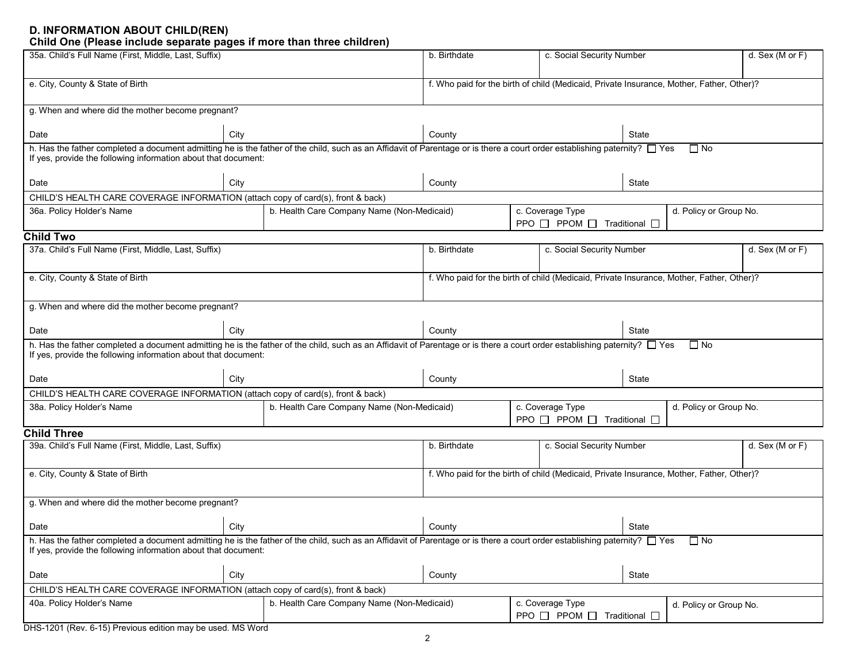#### **D. INFORMATION ABOUT CHILD(REN) Child One (Please include separate pages if more than three children)**

| 35a. Child's Full Name (First, Middle, Last, Suffix)                                                                                                                                                                                                     |      |                                                             | b. Birthdate                                                                             |                                                                     | c. Social Security Number |           |                        |  |  |
|----------------------------------------------------------------------------------------------------------------------------------------------------------------------------------------------------------------------------------------------------------|------|-------------------------------------------------------------|------------------------------------------------------------------------------------------|---------------------------------------------------------------------|---------------------------|-----------|------------------------|--|--|
| e. City, County & State of Birth                                                                                                                                                                                                                         |      |                                                             | f. Who paid for the birth of child (Medicaid, Private Insurance, Mother, Father, Other)? |                                                                     |                           |           |                        |  |  |
| g. When and where did the mother become pregnant?                                                                                                                                                                                                        |      |                                                             |                                                                                          |                                                                     |                           |           |                        |  |  |
| Date                                                                                                                                                                                                                                                     | City |                                                             | County                                                                                   | State                                                               |                           |           |                        |  |  |
| h. Has the father completed a document admitting he is the father of the child, such as an Affidavit of Parentage or is there a court order establishing paternity? $\Box$ Yes<br>If yes, provide the following information about that document:         |      |                                                             |                                                                                          | $\Box$ No                                                           |                           |           |                        |  |  |
| Date                                                                                                                                                                                                                                                     | City |                                                             | County                                                                                   | State                                                               |                           |           |                        |  |  |
| CHILD'S HEALTH CARE COVERAGE INFORMATION (attach copy of card(s), front & back)                                                                                                                                                                          |      |                                                             |                                                                                          |                                                                     |                           |           |                        |  |  |
| 36a. Policy Holder's Name                                                                                                                                                                                                                                |      | b. Health Care Company Name (Non-Medicaid)                  |                                                                                          | c. Coverage Type<br>$PPO \Box PPOM \Box$<br>Traditional $\square$   |                           |           | d. Policy or Group No. |  |  |
| <b>Child Two</b>                                                                                                                                                                                                                                         |      |                                                             |                                                                                          |                                                                     |                           |           |                        |  |  |
| 37a. Child's Full Name (First, Middle, Last, Suffix)                                                                                                                                                                                                     |      |                                                             | b. Birthdate                                                                             | c. Social Security Number                                           |                           |           | d. Sex (M or $F$ )     |  |  |
| e. City, County & State of Birth                                                                                                                                                                                                                         |      |                                                             | f. Who paid for the birth of child (Medicaid, Private Insurance, Mother, Father, Other)? |                                                                     |                           |           |                        |  |  |
| g. When and where did the mother become pregnant?                                                                                                                                                                                                        |      |                                                             |                                                                                          |                                                                     |                           |           |                        |  |  |
| Date                                                                                                                                                                                                                                                     | City |                                                             | County                                                                                   | State                                                               |                           |           |                        |  |  |
| h. Has the father completed a document admitting he is the father of the child, such as an Affidavit of Parentage or is there a court order establishing paternity? $\Box$ Yes<br>If yes, provide the following information about that document:         |      |                                                             |                                                                                          |                                                                     |                           | $\Box$ No |                        |  |  |
| Date                                                                                                                                                                                                                                                     | City |                                                             | County                                                                                   | State                                                               |                           |           |                        |  |  |
| CHILD'S HEALTH CARE COVERAGE INFORMATION (attach copy of card(s), front & back)                                                                                                                                                                          |      |                                                             |                                                                                          |                                                                     |                           |           |                        |  |  |
| b. Health Care Company Name (Non-Medicaid)<br>38a. Policy Holder's Name                                                                                                                                                                                  |      | c. Coverage Type<br>$PPO \Box PPOM \Box$ Traditional $\Box$ |                                                                                          |                                                                     | d. Policy or Group No.    |           |                        |  |  |
| <b>Child Three</b>                                                                                                                                                                                                                                       |      |                                                             |                                                                                          |                                                                     |                           |           |                        |  |  |
| 39a. Child's Full Name (First, Middle, Last, Suffix)                                                                                                                                                                                                     |      |                                                             | b. Birthdate                                                                             | c. Social Security Number                                           |                           |           | d. Sex (M or F)        |  |  |
| e. City, County & State of Birth                                                                                                                                                                                                                         |      |                                                             | f. Who paid for the birth of child (Medicaid, Private Insurance, Mother, Father, Other)? |                                                                     |                           |           |                        |  |  |
| g. When and where did the mother become pregnant?                                                                                                                                                                                                        |      |                                                             |                                                                                          |                                                                     |                           |           |                        |  |  |
| Date                                                                                                                                                                                                                                                     | City |                                                             | County                                                                                   |                                                                     | State                     |           |                        |  |  |
| h. Has the father completed a document admitting he is the father of the child, such as an Affidavit of Parentage or is there a court order establishing paternity? □ Yes<br>$\Box$ No<br>If yes, provide the following information about that document: |      |                                                             |                                                                                          |                                                                     |                           |           |                        |  |  |
| Date                                                                                                                                                                                                                                                     | City |                                                             | County                                                                                   | State                                                               |                           |           |                        |  |  |
| CHILD'S HEALTH CARE COVERAGE INFORMATION (attach copy of card(s), front & back)                                                                                                                                                                          |      |                                                             |                                                                                          |                                                                     |                           |           |                        |  |  |
| 40a. Policy Holder's Name                                                                                                                                                                                                                                |      | b. Health Care Company Name (Non-Medicaid)                  |                                                                                          | d. Policy or Group No.<br>PPO $\Box$ PPOM $\Box$ Traditional $\Box$ |                           |           |                        |  |  |